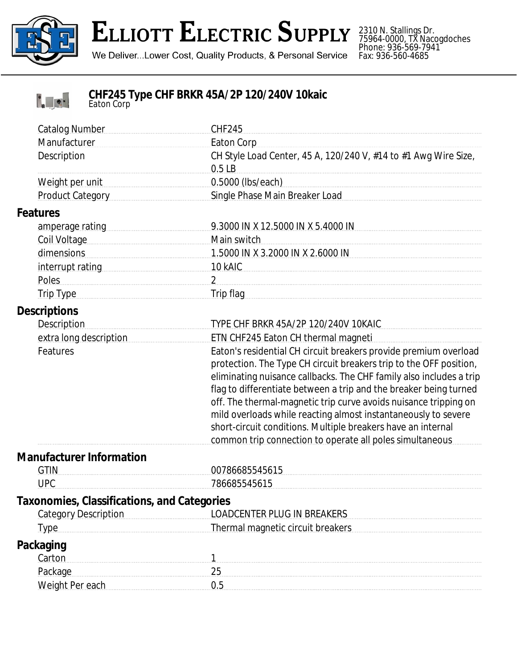

## **ELLIOTT ELECTRIC SUPPLY**

We Deliver...Lower Cost, Quality Products, & Personal Service

2310 N. Stallings Dr. 75964-0000, TX Nacogdoches Phone: 936-569-7941 Fax: 936-560-4685



## **CHF245 Type CHF BRKR 45A/2P 120/240V 10kaic** *Eaton Corp*

|                                             | <b>Catalog Number</b>       | <b>CHF245</b>                                                                                                                                                                                                                                                                                                                                                                                                                                                                                                                                        |
|---------------------------------------------|-----------------------------|------------------------------------------------------------------------------------------------------------------------------------------------------------------------------------------------------------------------------------------------------------------------------------------------------------------------------------------------------------------------------------------------------------------------------------------------------------------------------------------------------------------------------------------------------|
|                                             | Manufacturer<br>Description | <b>Eaton Corp</b><br>CH Style Load Center, 45 A, 120/240 V, #14 to #1 Awg Wire Size,                                                                                                                                                                                                                                                                                                                                                                                                                                                                 |
|                                             |                             | 0.5LB                                                                                                                                                                                                                                                                                                                                                                                                                                                                                                                                                |
|                                             | Weight per unit             | 0.5000 (lbs/each) example and the state of the state of the state of the state of the state of the state of the state of the state of the state of the state of the state of the state of the state of the state of the state                                                                                                                                                                                                                                                                                                                        |
|                                             | Product Category            | Single Phase Main Breaker Load                                                                                                                                                                                                                                                                                                                                                                                                                                                                                                                       |
|                                             | <b>Features</b>             |                                                                                                                                                                                                                                                                                                                                                                                                                                                                                                                                                      |
|                                             |                             | 9.3000 IN X 12.5000 IN X 5.4000 IN                                                                                                                                                                                                                                                                                                                                                                                                                                                                                                                   |
|                                             | Coil Voltage                | Main switch                                                                                                                                                                                                                                                                                                                                                                                                                                                                                                                                          |
|                                             | dimensions                  | 1.5000 IN X 3.2000 IN X 2.6000 IN                                                                                                                                                                                                                                                                                                                                                                                                                                                                                                                    |
|                                             |                             |                                                                                                                                                                                                                                                                                                                                                                                                                                                                                                                                                      |
|                                             | Poles                       |                                                                                                                                                                                                                                                                                                                                                                                                                                                                                                                                                      |
|                                             | Trip Type                   | Trip flag                                                                                                                                                                                                                                                                                                                                                                                                                                                                                                                                            |
| <b>Descriptions</b>                         |                             |                                                                                                                                                                                                                                                                                                                                                                                                                                                                                                                                                      |
|                                             | <b>Description</b>          | TYPE CHF BRKR 45A/2P 120/240V 10KAIC                                                                                                                                                                                                                                                                                                                                                                                                                                                                                                                 |
|                                             | extra long description      | ETN CHF245 Eaton CH thermal magneti                                                                                                                                                                                                                                                                                                                                                                                                                                                                                                                  |
|                                             | Features                    | Eaton's residential CH circuit breakers provide premium overload<br>protection. The Type CH circuit breakers trip to the OFF position,<br>eliminating nuisance callbacks. The CHF family also includes a trip<br>flag to differentiate between a trip and the breaker being turned<br>off. The thermal-magnetic trip curve avoids nuisance tripping on<br>mild overloads while reacting almost instantaneously to severe<br>short-circuit conditions. Multiple breakers have an internal<br>common trip connection to operate all poles simultaneous |
| <b>Manufacturer Information</b>             |                             |                                                                                                                                                                                                                                                                                                                                                                                                                                                                                                                                                      |
|                                             | <b>GTIN</b>                 | 00786685545615                                                                                                                                                                                                                                                                                                                                                                                                                                                                                                                                       |
|                                             | <b>UPC</b>                  | 786685545615                                                                                                                                                                                                                                                                                                                                                                                                                                                                                                                                         |
| Taxonomies, Classifications, and Categories |                             |                                                                                                                                                                                                                                                                                                                                                                                                                                                                                                                                                      |
|                                             | <b>Category Description</b> | <b>LOADCENTER PLUG IN BREAKERS</b>                                                                                                                                                                                                                                                                                                                                                                                                                                                                                                                   |
|                                             | <b>Type</b>                 | <b>Thermal magnetic circuit breakers</b>                                                                                                                                                                                                                                                                                                                                                                                                                                                                                                             |
| <b>Packaging</b><br>Carton                  |                             |                                                                                                                                                                                                                                                                                                                                                                                                                                                                                                                                                      |
|                                             | Package                     |                                                                                                                                                                                                                                                                                                                                                                                                                                                                                                                                                      |
|                                             | Weight Per each             | 0.5                                                                                                                                                                                                                                                                                                                                                                                                                                                                                                                                                  |
|                                             |                             |                                                                                                                                                                                                                                                                                                                                                                                                                                                                                                                                                      |